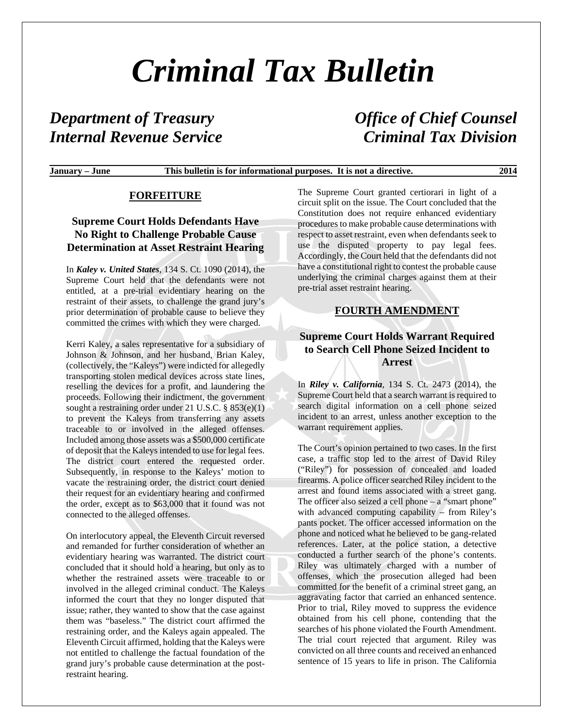# *Criminal Tax Bulletin*

# *Internal Revenue Service Criminal Tax Division*

# *Department of Treasury Office of Chief Counsel*

**January – June This bulletin is for informational purposes. It is not a directive. 2014**

#### **FORFEITURE**

# **Supreme Court Holds Defendants Have No Right to Challenge Probable Cause Determination at Asset Restraint Hearing**

In *Kaley v. United States*, 134 S. Ct. 1090 (2014), the Supreme Court held that the defendants were not entitled, at a pre-trial evidentiary hearing on the restraint of their assets, to challenge the grand jury's prior determination of probable cause to believe they committed the crimes with which they were charged.

Kerri Kaley, a sales representative for a subsidiary of Johnson & Johnson, and her husband, Brian Kaley, (collectively, the "Kaleys") were indicted for allegedly transporting stolen medical devices across state lines, reselling the devices for a profit, and laundering the proceeds. Following their indictment, the government sought a restraining order under 21 U.S.C. § 853(e)(1) to prevent the Kaleys from transferring any assets traceable to or involved in the alleged offenses. Included among those assets was a \$500,000 certificate of deposit that the Kaleys intended to use for legal fees. The district court entered the requested order. Subsequently, in response to the Kaleys' motion to vacate the restraining order, the district court denied their request for an evidentiary hearing and confirmed the order, except as to \$63,000 that it found was not connected to the alleged offenses.

On interlocutory appeal, the Eleventh Circuit reversed and remanded for further consideration of whether an evidentiary hearing was warranted. The district court concluded that it should hold a hearing, but only as to whether the restrained assets were traceable to or involved in the alleged criminal conduct. The Kaleys informed the court that they no longer disputed that issue; rather, they wanted to show that the case against them was "baseless." The district court affirmed the restraining order, and the Kaleys again appealed. The Eleventh Circuit affirmed, holding that the Kaleys were not entitled to challenge the factual foundation of the grand jury's probable cause determination at the postrestraint hearing.

The Supreme Court granted certiorari in light of a circuit split on the issue. The Court concluded that the Constitution does not require enhanced evidentiary procedures to make probable cause determinations with respect to asset restraint, even when defendants seek to use the disputed property to pay legal fees. Accordingly, the Court held that the defendants did not have a constitutional right to contest the probable cause underlying the criminal charges against them at their pre-trial asset restraint hearing.

#### **FOURTH AMENDMENT**

#### **Supreme Court Holds Warrant Required to Search Cell Phone Seized Incident to Arrest**

In *Riley v. California*, 134 S. Ct. 2473 (2014), the Supreme Court held that a search warrant is required to search digital information on a cell phone seized incident to an arrest, unless another exception to the warrant requirement applies.

The Court's opinion pertained to two cases. In the first case, a traffic stop led to the arrest of David Riley ("Riley") for possession of concealed and loaded firearms. A police officer searched Riley incident to the arrest and found items associated with a street gang. The officer also seized a cell phone  $-$  a "smart phone" with advanced computing capability – from Riley's pants pocket. The officer accessed information on the phone and noticed what he believed to be gang-related references. Later, at the police station, a detective conducted a further search of the phone's contents. Riley was ultimately charged with a number of offenses, which the prosecution alleged had been committed for the benefit of a criminal street gang, an aggravating factor that carried an enhanced sentence. Prior to trial, Riley moved to suppress the evidence obtained from his cell phone, contending that the searches of his phone violated the Fourth Amendment. The trial court rejected that argument. Riley was convicted on all three counts and received an enhanced sentence of 15 years to life in prison. The California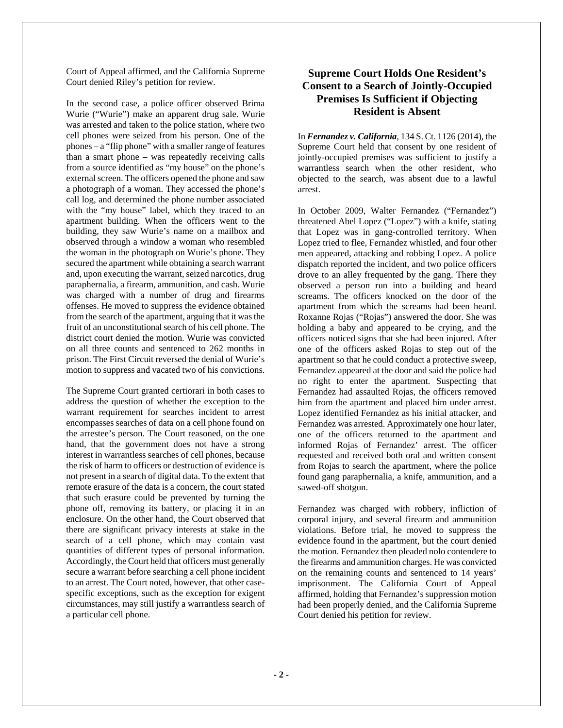Court of Appeal affirmed, and the California Supreme Court denied Riley's petition for review.

In the second case, a police officer observed Brima Wurie ("Wurie") make an apparent drug sale. Wurie was arrested and taken to the police station, where two cell phones were seized from his person. One of the phones – a "flip phone" with a smaller range of features than a smart phone – was repeatedly receiving calls from a source identified as "my house" on the phone's external screen. The officers opened the phone and saw a photograph of a woman. They accessed the phone's call log, and determined the phone number associated with the "my house" label, which they traced to an apartment building. When the officers went to the building, they saw Wurie's name on a mailbox and observed through a window a woman who resembled the woman in the photograph on Wurie's phone. They secured the apartment while obtaining a search warrant and, upon executing the warrant, seized narcotics, drug paraphernalia, a firearm, ammunition, and cash. Wurie was charged with a number of drug and firearms offenses. He moved to suppress the evidence obtained from the search of the apartment, arguing that it was the fruit of an unconstitutional search of his cell phone. The district court denied the motion. Wurie was convicted on all three counts and sentenced to 262 months in prison. The First Circuit reversed the denial of Wurie's motion to suppress and vacated two of his convictions.

The Supreme Court granted certiorari in both cases to address the question of whether the exception to the warrant requirement for searches incident to arrest encompasses searches of data on a cell phone found on the arrestee's person. The Court reasoned, on the one hand, that the government does not have a strong interest in warrantless searches of cell phones, because the risk of harm to officers or destruction of evidence is not present in a search of digital data. To the extent that remote erasure of the data is a concern, the court stated that such erasure could be prevented by turning the phone off, removing its battery, or placing it in an enclosure. On the other hand, the Court observed that there are significant privacy interests at stake in the search of a cell phone, which may contain vast quantities of different types of personal information. Accordingly, the Court held that officers must generally secure a warrant before searching a cell phone incident to an arrest. The Court noted, however, that other casespecific exceptions, such as the exception for exigent circumstances, may still justify a warrantless search of a particular cell phone.

# **Supreme Court Holds One Resident's Consent to a Search of Jointly-Occupied Premises Is Sufficient if Objecting Resident is Absent**

In *Fernandez v. California*, 134 S. Ct. 1126 (2014), the Supreme Court held that consent by one resident of jointly-occupied premises was sufficient to justify a warrantless search when the other resident, who objected to the search, was absent due to a lawful arrest.

In October 2009, Walter Fernandez ("Fernandez") threatened Abel Lopez ("Lopez") with a knife, stating that Lopez was in gang-controlled territory. When Lopez tried to flee, Fernandez whistled, and four other men appeared, attacking and robbing Lopez. A police dispatch reported the incident, and two police officers drove to an alley frequented by the gang. There they observed a person run into a building and heard screams. The officers knocked on the door of the apartment from which the screams had been heard. Roxanne Rojas ("Rojas") answered the door. She was holding a baby and appeared to be crying, and the officers noticed signs that she had been injured. After one of the officers asked Rojas to step out of the apartment so that he could conduct a protective sweep, Fernandez appeared at the door and said the police had no right to enter the apartment. Suspecting that Fernandez had assaulted Rojas, the officers removed him from the apartment and placed him under arrest. Lopez identified Fernandez as his initial attacker, and Fernandez was arrested. Approximately one hour later, one of the officers returned to the apartment and informed Rojas of Fernandez' arrest. The officer requested and received both oral and written consent from Rojas to search the apartment, where the police found gang paraphernalia, a knife, ammunition, and a sawed-off shotgun.

Fernandez was charged with robbery, infliction of corporal injury, and several firearm and ammunition violations. Before trial, he moved to suppress the evidence found in the apartment, but the court denied the motion. Fernandez then pleaded nolo contendere to the firearms and ammunition charges. He was convicted on the remaining counts and sentenced to 14 years' imprisonment. The California Court of Appeal affirmed, holding that Fernandez's suppression motion had been properly denied, and the California Supreme Court denied his petition for review.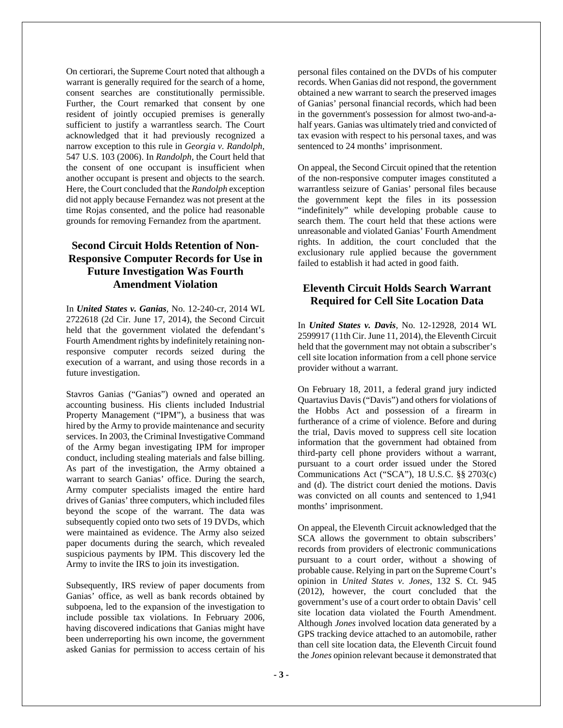On certiorari, the Supreme Court noted that although a warrant is generally required for the search of a home. consent searches are constitutionally permissible. Further, the Court remarked that consent by one resident of jointly occupied premises is generally sufficient to justify a warrantless search. The Court acknowledged that it had previously recognized a narrow exception to this rule in *Georgia v. Randolph,* 547 U.S. 103 (2006). In *Randolph*, the Court held that the consent of one occupant is insufficient when another occupant is present and objects to the search. Here, the Court concluded that the *Randolph* exception did not apply because Fernandez was not present at the time Rojas consented, and the police had reasonable grounds for removing Fernandez from the apartment.

# **Second Circuit Holds Retention of Non-Responsive Computer Records for Use in Future Investigation Was Fourth Amendment Violation**

In *United States v. Ganias,* No. 12-240-cr, 2014 WL 2722618 (2d Cir. June 17, 2014), the Second Circuit held that the government violated the defendant's Fourth Amendment rights by indefinitely retaining nonresponsive computer records seized during the execution of a warrant, and using those records in a future investigation.

Stavros Ganias ("Ganias") owned and operated an accounting business. His clients included Industrial Property Management ("IPM"), a business that was hired by the Army to provide maintenance and security services. In 2003, the Criminal Investigative Command of the Army began investigating IPM for improper conduct, including stealing materials and false billing. As part of the investigation, the Army obtained a warrant to search Ganias' office. During the search, Army computer specialists imaged the entire hard drives of Ganias' three computers, which included files beyond the scope of the warrant. The data was subsequently copied onto two sets of 19 DVDs, which were maintained as evidence. The Army also seized paper documents during the search, which revealed suspicious payments by IPM. This discovery led the Army to invite the IRS to join its investigation.

Subsequently, IRS review of paper documents from Ganias' office, as well as bank records obtained by subpoena, led to the expansion of the investigation to include possible tax violations. In February 2006, having discovered indications that Ganias might have been underreporting his own income, the government asked Ganias for permission to access certain of his

personal files contained on the DVDs of his computer records. When Ganias did not respond, the government obtained a new warrant to search the preserved images of Ganias' personal financial records, which had been in the government's possession for almost two-and-ahalf years. Ganias was ultimately tried and convicted of tax evasion with respect to his personal taxes, and was sentenced to 24 months' imprisonment.

On appeal, the Second Circuit opined that the retention of the non-responsive computer images constituted a warrantless seizure of Ganias' personal files because the government kept the files in its possession "indefinitely" while developing probable cause to search them. The court held that these actions were unreasonable and violated Ganias' Fourth Amendment rights. In addition, the court concluded that the exclusionary rule applied because the government failed to establish it had acted in good faith.

#### **Eleventh Circuit Holds Search Warrant Required for Cell Site Location Data**

In *United States v. Davis*, No. 12-12928, 2014 WL 2599917 (11th Cir. June 11, 2014), the Eleventh Circuit held that the government may not obtain a subscriber's cell site location information from a cell phone service provider without a warrant.

On February 18, 2011, a federal grand jury indicted Quartavius Davis ("Davis") and others for violations of the Hobbs Act and possession of a firearm in furtherance of a crime of violence. Before and during the trial, Davis moved to suppress cell site location information that the government had obtained from third-party cell phone providers without a warrant, pursuant to a court order issued under the Stored Communications Act ("SCA"), 18 U.S.C. §§ 2703(c) and (d). The district court denied the motions. Davis was convicted on all counts and sentenced to 1,941 months' imprisonment.

On appeal, the Eleventh Circuit acknowledged that the SCA allows the government to obtain subscribers' records from providers of electronic communications pursuant to a court order, without a showing of probable cause. Relying in part on the Supreme Court's opinion in *United States v. Jones*, 132 S. Ct. 945 (2012), however, the court concluded that the government's use of a court order to obtain Davis' cell site location data violated the Fourth Amendment. Although *Jones* involved location data generated by a GPS tracking device attached to an automobile, rather than cell site location data, the Eleventh Circuit found the *Jones* opinion relevant because it demonstrated that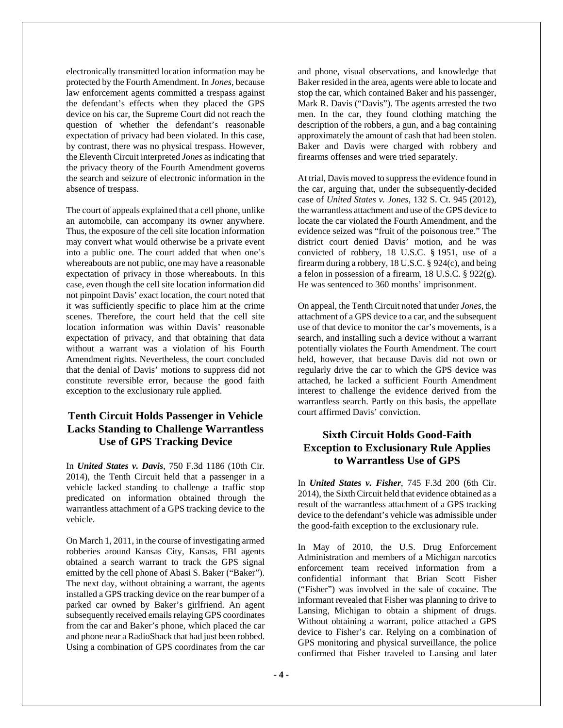electronically transmitted location information may be protected by the Fourth Amendment. In *Jones,* because law enforcement agents committed a trespass against the defendant's effects when they placed the GPS device on his car, the Supreme Court did not reach the question of whether the defendant's reasonable expectation of privacy had been violated. In this case, by contrast, there was no physical trespass. However, the Eleventh Circuit interpreted *Jones* as indicating that the privacy theory of the Fourth Amendment governs the search and seizure of electronic information in the absence of trespass.

The court of appeals explained that a cell phone, unlike an automobile, can accompany its owner anywhere. Thus, the exposure of the cell site location information may convert what would otherwise be a private event into a public one. The court added that when one's whereabouts are not public, one may have a reasonable expectation of privacy in those whereabouts. In this case, even though the cell site location information did not pinpoint Davis' exact location, the court noted that it was sufficiently specific to place him at the crime scenes. Therefore, the court held that the cell site location information was within Davis' reasonable expectation of privacy, and that obtaining that data without a warrant was a violation of his Fourth Amendment rights. Nevertheless, the court concluded that the denial of Davis' motions to suppress did not constitute reversible error, because the good faith exception to the exclusionary rule applied.

# **Tenth Circuit Holds Passenger in Vehicle Lacks Standing to Challenge Warrantless Use of GPS Tracking Device**

In *United States v. Davis*, 750 F.3d 1186 (10th Cir. 2014), the Tenth Circuit held that a passenger in a vehicle lacked standing to challenge a traffic stop predicated on information obtained through the warrantless attachment of a GPS tracking device to the vehicle.

On March 1, 2011, in the course of investigating armed robberies around Kansas City, Kansas, FBI agents obtained a search warrant to track the GPS signal emitted by the cell phone of Abasi S. Baker ("Baker"). The next day, without obtaining a warrant, the agents installed a GPS tracking device on the rear bumper of a parked car owned by Baker's girlfriend. An agent subsequently received emails relaying GPS coordinates from the car and Baker's phone, which placed the car and phone near a RadioShack that had just been robbed. Using a combination of GPS coordinates from the car

and phone, visual observations, and knowledge that Baker resided in the area, agents were able to locate and stop the car, which contained Baker and his passenger, Mark R. Davis ("Davis"). The agents arrested the two men. In the car, they found clothing matching the description of the robbers, a gun, and a bag containing approximately the amount of cash that had been stolen. Baker and Davis were charged with robbery and firearms offenses and were tried separately.

At trial, Davis moved to suppress the evidence found in the car, arguing that, under the subsequently-decided case of *United States v. Jones*, 132 S. Ct. 945 (2012), the warrantless attachment and use of the GPS device to locate the car violated the Fourth Amendment, and the evidence seized was "fruit of the poisonous tree." The district court denied Davis' motion, and he was convicted of robbery, 18 U.S.C. § 1951, use of a firearm during a robbery, 18 U.S.C. § 924(c), and being a felon in possession of a firearm, 18 U.S.C. § 922(g). He was sentenced to 360 months' imprisonment.

On appeal, the Tenth Circuit noted that under *Jones,* the attachment of a GPS device to a car, and the subsequent use of that device to monitor the car's movements, is a search, and installing such a device without a warrant potentially violates the Fourth Amendment. The court held, however, that because Davis did not own or regularly drive the car to which the GPS device was attached, he lacked a sufficient Fourth Amendment interest to challenge the evidence derived from the warrantless search. Partly on this basis, the appellate court affirmed Davis' conviction.

# **Sixth Circuit Holds Good-Faith Exception to Exclusionary Rule Applies to Warrantless Use of GPS**

In *United States v. Fisher*, 745 F.3d 200 (6th Cir. 2014), the Sixth Circuit held that evidence obtained as a result of the warrantless attachment of a GPS tracking device to the defendant's vehicle was admissible under the good-faith exception to the exclusionary rule.

In May of 2010, the U.S. Drug Enforcement Administration and members of a Michigan narcotics enforcement team received information from a confidential informant that Brian Scott Fisher ("Fisher") was involved in the sale of cocaine. The informant revealed that Fisher was planning to drive to Lansing, Michigan to obtain a shipment of drugs. Without obtaining a warrant, police attached a GPS device to Fisher's car. Relying on a combination of GPS monitoring and physical surveillance, the police confirmed that Fisher traveled to Lansing and later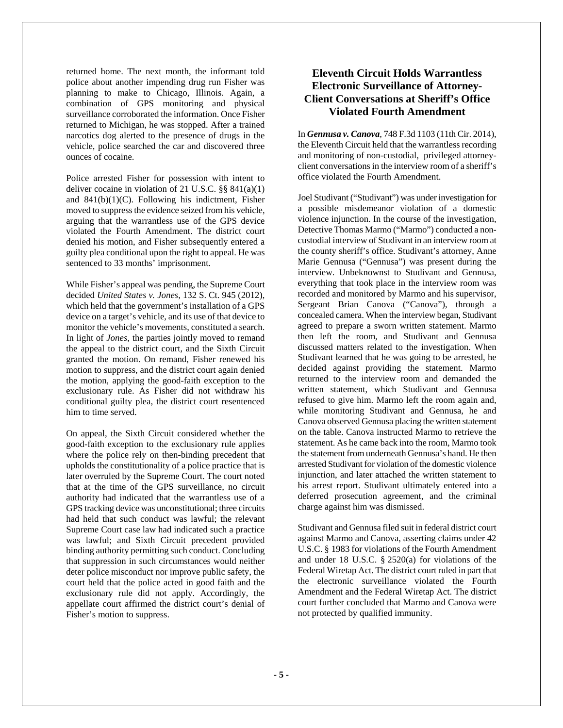returned home. The next month, the informant told police about another impending drug run Fisher was planning to make to Chicago, Illinois. Again, a combination of GPS monitoring and physical surveillance corroborated the information. Once Fisher returned to Michigan, he was stopped. After a trained narcotics dog alerted to the presence of drugs in the vehicle, police searched the car and discovered three ounces of cocaine.

Police arrested Fisher for possession with intent to deliver cocaine in violation of 21 U.S.C.  $\S$ § 841(a)(1) and 841(b)(1)(C). Following his indictment, Fisher moved to suppress the evidence seized from his vehicle, arguing that the warrantless use of the GPS device violated the Fourth Amendment. The district court denied his motion, and Fisher subsequently entered a guilty plea conditional upon the right to appeal. He was sentenced to 33 months' imprisonment.

While Fisher's appeal was pending, the Supreme Court decided *United States v. Jones*, 132 S. Ct. 945 (2012), which held that the government's installation of a GPS device on a target's vehicle, and its use of that device to monitor the vehicle's movements, constituted a search. In light of *Jones*, the parties jointly moved to remand the appeal to the district court, and the Sixth Circuit granted the motion. On remand, Fisher renewed his motion to suppress, and the district court again denied the motion, applying the good-faith exception to the exclusionary rule. As Fisher did not withdraw his conditional guilty plea, the district court resentenced him to time served.

On appeal, the Sixth Circuit considered whether the good-faith exception to the exclusionary rule applies where the police rely on then-binding precedent that upholds the constitutionality of a police practice that is later overruled by the Supreme Court. The court noted that at the time of the GPS surveillance, no circuit authority had indicated that the warrantless use of a GPS tracking device was unconstitutional; three circuits had held that such conduct was lawful; the relevant Supreme Court case law had indicated such a practice was lawful; and Sixth Circuit precedent provided binding authority permitting such conduct. Concluding that suppression in such circumstances would neither deter police misconduct nor improve public safety, the court held that the police acted in good faith and the exclusionary rule did not apply. Accordingly, the appellate court affirmed the district court's denial of Fisher's motion to suppress.

# **Eleventh Circuit Holds Warrantless Electronic Surveillance of Attorney-Client Conversations at Sheriff's Office Violated Fourth Amendment**

In *Gennusa v. Canova*, 748 F.3d 1103 (11th Cir. 2014), the Eleventh Circuit held that the warrantless recording and monitoring of non-custodial, privileged attorneyclient conversations in the interview room of a sheriff's office violated the Fourth Amendment.

Joel Studivant ("Studivant") was under investigation for a possible misdemeanor violation of a domestic violence injunction. In the course of the investigation, Detective Thomas Marmo ("Marmo") conducted a noncustodial interview of Studivant in an interview room at the county sheriff's office. Studivant's attorney, Anne Marie Gennusa ("Gennusa") was present during the interview. Unbeknownst to Studivant and Gennusa, everything that took place in the interview room was recorded and monitored by Marmo and his supervisor, Sergeant Brian Canova ("Canova"), through a concealed camera. When the interview began, Studivant agreed to prepare a sworn written statement. Marmo then left the room, and Studivant and Gennusa discussed matters related to the investigation. When Studivant learned that he was going to be arrested, he decided against providing the statement. Marmo returned to the interview room and demanded the written statement, which Studivant and Gennusa refused to give him. Marmo left the room again and, while monitoring Studivant and Gennusa, he and Canova observed Gennusa placing the written statement on the table. Canova instructed Marmo to retrieve the statement. As he came back into the room, Marmo took the statement from underneath Gennusa's hand. He then arrested Studivant for violation of the domestic violence injunction, and later attached the written statement to his arrest report. Studivant ultimately entered into a deferred prosecution agreement, and the criminal charge against him was dismissed.

Studivant and Gennusa filed suit in federal district court against Marmo and Canova, asserting claims under 42 U.S.C. § 1983 for violations of the Fourth Amendment and under 18 U.S.C. § 2520(a) for violations of the Federal Wiretap Act. The district court ruled in part that the electronic surveillance violated the Fourth Amendment and the Federal Wiretap Act. The district court further concluded that Marmo and Canova were not protected by qualified immunity.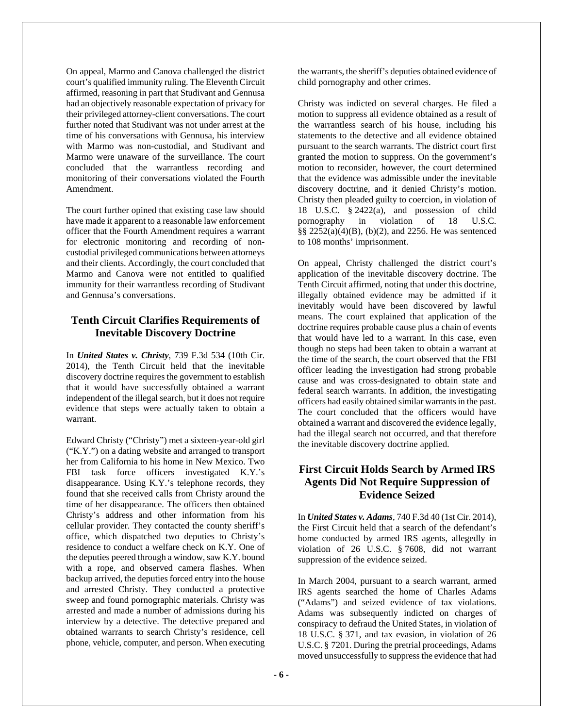On appeal, Marmo and Canova challenged the district court's qualified immunity ruling. The Eleventh Circuit affirmed, reasoning in part that Studivant and Gennusa had an objectively reasonable expectation of privacy for their privileged attorney-client conversations. The court further noted that Studivant was not under arrest at the time of his conversations with Gennusa, his interview with Marmo was non-custodial, and Studivant and Marmo were unaware of the surveillance. The court concluded that the warrantless recording and monitoring of their conversations violated the Fourth Amendment.

The court further opined that existing case law should have made it apparent to a reasonable law enforcement officer that the Fourth Amendment requires a warrant for electronic monitoring and recording of noncustodial privileged communications between attorneys and their clients. Accordingly, the court concluded that Marmo and Canova were not entitled to qualified immunity for their warrantless recording of Studivant and Gennusa's conversations.

#### **Tenth Circuit Clarifies Requirements of Inevitable Discovery Doctrine**

In *United States v. Christy*, 739 F.3d 534 (10th Cir. 2014), the Tenth Circuit held that the inevitable discovery doctrine requires the government to establish that it would have successfully obtained a warrant independent of the illegal search, but it does not require evidence that steps were actually taken to obtain a warrant.

Edward Christy ("Christy") met a sixteen-year-old girl ("K.Y.") on a dating website and arranged to transport her from California to his home in New Mexico. Two FBI task force officers investigated K.Y.'s disappearance. Using K.Y.'s telephone records, they found that she received calls from Christy around the time of her disappearance. The officers then obtained Christy's address and other information from his cellular provider. They contacted the county sheriff's office, which dispatched two deputies to Christy's residence to conduct a welfare check on K.Y. One of the deputies peered through a window, saw K.Y. bound with a rope, and observed camera flashes. When backup arrived, the deputies forced entry into the house and arrested Christy. They conducted a protective sweep and found pornographic materials. Christy was arrested and made a number of admissions during his interview by a detective. The detective prepared and obtained warrants to search Christy's residence, cell phone, vehicle, computer, and person. When executing

the warrants, the sheriff's deputies obtained evidence of child pornography and other crimes.

Christy was indicted on several charges. He filed a motion to suppress all evidence obtained as a result of the warrantless search of his house, including his statements to the detective and all evidence obtained pursuant to the search warrants. The district court first granted the motion to suppress. On the government's motion to reconsider, however, the court determined that the evidence was admissible under the inevitable discovery doctrine, and it denied Christy's motion. Christy then pleaded guilty to coercion, in violation of 18 U.S.C. § 2422(a), and possession of child pornography in violation of 18 U.S.C. §§ 2252(a)(4)(B), (b)(2), and 2256. He was sentenced to 108 months' imprisonment.

On appeal, Christy challenged the district court's application of the inevitable discovery doctrine. The Tenth Circuit affirmed, noting that under this doctrine, illegally obtained evidence may be admitted if it inevitably would have been discovered by lawful means. The court explained that application of the doctrine requires probable cause plus a chain of events that would have led to a warrant. In this case, even though no steps had been taken to obtain a warrant at the time of the search, the court observed that the FBI officer leading the investigation had strong probable cause and was cross-designated to obtain state and federal search warrants. In addition, the investigating officers had easily obtained similar warrants in the past. The court concluded that the officers would have obtained a warrant and discovered the evidence legally, had the illegal search not occurred, and that therefore the inevitable discovery doctrine applied.

#### **First Circuit Holds Search by Armed IRS Agents Did Not Require Suppression of Evidence Seized**

In *United States v. Adams*, 740 F.3d 40 (1st Cir. 2014), the First Circuit held that a search of the defendant's home conducted by armed IRS agents, allegedly in violation of 26 U.S.C. § 7608, did not warrant suppression of the evidence seized.

In March 2004, pursuant to a search warrant, armed IRS agents searched the home of Charles Adams ("Adams") and seized evidence of tax violations. Adams was subsequently indicted on charges of conspiracy to defraud the United States, in violation of 18 U.S.C. § 371, and tax evasion, in violation of 26 U.S.C. § 7201. During the pretrial proceedings, Adams moved unsuccessfully to suppress the evidence that had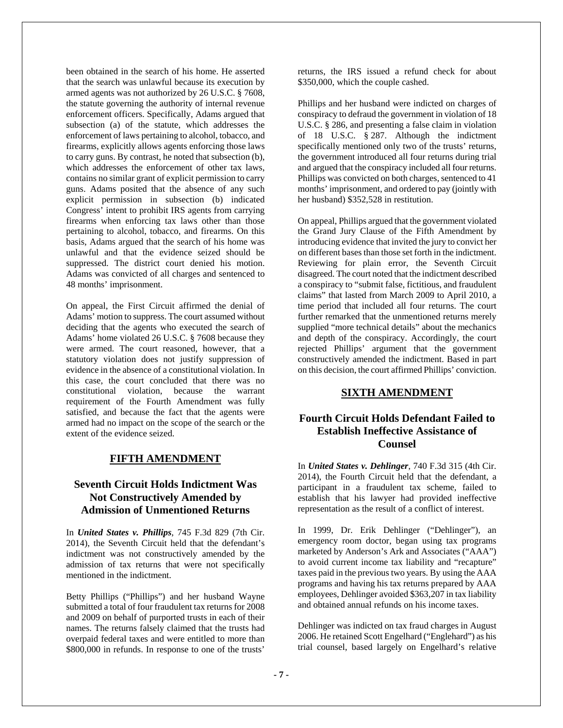been obtained in the search of his home. He asserted that the search was unlawful because its execution by armed agents was not authorized by 26 U.S.C. § 7608, the statute governing the authority of internal revenue enforcement officers. Specifically, Adams argued that subsection (a) of the statute, which addresses the enforcement of laws pertaining to alcohol, tobacco, and firearms, explicitly allows agents enforcing those laws to carry guns. By contrast, he noted that subsection (b), which addresses the enforcement of other tax laws, contains no similar grant of explicit permission to carry guns. Adams posited that the absence of any such explicit permission in subsection (b) indicated Congress' intent to prohibit IRS agents from carrying firearms when enforcing tax laws other than those pertaining to alcohol, tobacco, and firearms. On this basis, Adams argued that the search of his home was unlawful and that the evidence seized should be suppressed. The district court denied his motion. Adams was convicted of all charges and sentenced to 48 months' imprisonment.

On appeal, the First Circuit affirmed the denial of Adams' motion to suppress. The court assumed without deciding that the agents who executed the search of Adams' home violated 26 U.S.C. § 7608 because they were armed. The court reasoned, however, that a statutory violation does not justify suppression of evidence in the absence of a constitutional violation. In this case, the court concluded that there was no constitutional violation, because the warrant requirement of the Fourth Amendment was fully satisfied, and because the fact that the agents were armed had no impact on the scope of the search or the extent of the evidence seized.

#### **FIFTH AMENDMENT**

#### **Seventh Circuit Holds Indictment Was Not Constructively Amended by Admission of Unmentioned Returns**

In *United States v. Phillips*, 745 F.3d 829 (7th Cir. 2014), the Seventh Circuit held that the defendant's indictment was not constructively amended by the admission of tax returns that were not specifically mentioned in the indictment.

Betty Phillips ("Phillips") and her husband Wayne submitted a total of four fraudulent tax returns for 2008 and 2009 on behalf of purported trusts in each of their names. The returns falsely claimed that the trusts had overpaid federal taxes and were entitled to more than \$800,000 in refunds. In response to one of the trusts'

returns, the IRS issued a refund check for about \$350,000, which the couple cashed.

Phillips and her husband were indicted on charges of conspiracy to defraud the government in violation of 18 U.S.C. § 286, and presenting a false claim in violation of 18 U.S.C. § 287. Although the indictment specifically mentioned only two of the trusts' returns, the government introduced all four returns during trial and argued that the conspiracy included all four returns. Phillips was convicted on both charges, sentenced to 41 months' imprisonment, and ordered to pay (jointly with her husband) \$352,528 in restitution.

On appeal, Phillips argued that the government violated the Grand Jury Clause of the Fifth Amendment by introducing evidence that invited the jury to convict her on different bases than those set forth in the indictment. Reviewing for plain error, the Seventh Circuit disagreed. The court noted that the indictment described a conspiracy to "submit false, fictitious, and fraudulent claims" that lasted from March 2009 to April 2010, a time period that included all four returns. The court further remarked that the unmentioned returns merely supplied "more technical details" about the mechanics and depth of the conspiracy. Accordingly, the court rejected Phillips' argument that the government constructively amended the indictment. Based in part on this decision, the court affirmed Phillips' conviction.

#### **SIXTH AMENDMENT**

#### **Fourth Circuit Holds Defendant Failed to Establish Ineffective Assistance of Counsel**

In *United States v. Dehlinger*, 740 F.3d 315 (4th Cir. 2014), the Fourth Circuit held that the defendant, a participant in a fraudulent tax scheme, failed to establish that his lawyer had provided ineffective representation as the result of a conflict of interest.

In 1999, Dr. Erik Dehlinger ("Dehlinger"), an emergency room doctor, began using tax programs marketed by Anderson's Ark and Associates ("AAA") to avoid current income tax liability and "recapture" taxes paid in the previous two years. By using the AAA programs and having his tax returns prepared by AAA employees, Dehlinger avoided \$363,207 in tax liability and obtained annual refunds on his income taxes.

Dehlinger was indicted on tax fraud charges in August 2006. He retained Scott Engelhard ("Englehard") as his trial counsel, based largely on Engelhard's relative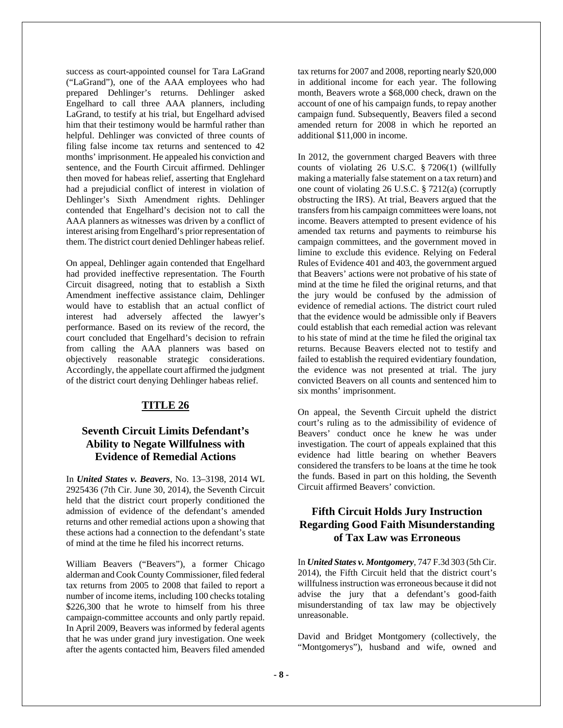success as court-appointed counsel for Tara LaGrand ("LaGrand"), one of the AAA employees who had prepared Dehlinger's returns. Dehlinger asked Engelhard to call three AAA planners, including LaGrand, to testify at his trial, but Engelhard advised him that their testimony would be harmful rather than helpful. Dehlinger was convicted of three counts of filing false income tax returns and sentenced to 42 months' imprisonment. He appealed his conviction and sentence, and the Fourth Circuit affirmed. Dehlinger then moved for habeas relief, asserting that Englehard had a prejudicial conflict of interest in violation of Dehlinger's Sixth Amendment rights. Dehlinger contended that Engelhard's decision not to call the AAA planners as witnesses was driven by a conflict of interest arising from Engelhard's prior representation of them. The district court denied Dehlinger habeas relief.

On appeal, Dehlinger again contended that Engelhard had provided ineffective representation. The Fourth Circuit disagreed, noting that to establish a Sixth Amendment ineffective assistance claim, Dehlinger would have to establish that an actual conflict of interest had adversely affected the lawyer's performance. Based on its review of the record, the court concluded that Engelhard's decision to refrain from calling the AAA planners was based on objectively reasonable strategic considerations. Accordingly, the appellate court affirmed the judgment of the district court denying Dehlinger habeas relief.

### **TITLE 26**

# **Seventh Circuit Limits Defendant's Ability to Negate Willfulness with Evidence of Remedial Actions**

In *United States v. Beavers*, No. 13–3198, 2014 WL 2925436 (7th Cir. June 30, 2014), the Seventh Circuit held that the district court properly conditioned the admission of evidence of the defendant's amended returns and other remedial actions upon a showing that these actions had a connection to the defendant's state of mind at the time he filed his incorrect returns.

William Beavers ("Beavers"), a former Chicago alderman and Cook County Commissioner, filed federal tax returns from 2005 to 2008 that failed to report a number of income items, including 100 checks totaling \$226,300 that he wrote to himself from his three campaign-committee accounts and only partly repaid. In April 2009, Beavers was informed by federal agents that he was under grand jury investigation. One week after the agents contacted him, Beavers filed amended

tax returns for 2007 and 2008, reporting nearly \$20,000 in additional income for each year. The following month, Beavers wrote a \$68,000 check, drawn on the account of one of his campaign funds, to repay another campaign fund. Subsequently, Beavers filed a second amended return for 2008 in which he reported an additional \$11,000 in income.

In 2012, the government charged Beavers with three counts of violating 26 U.S.C. § 7206(1) (willfully making a materially false statement on a tax return) and one count of violating 26 U.S.C. § 7212(a) (corruptly obstructing the IRS). At trial, Beavers argued that the transfers from his campaign committees were loans, not income. Beavers attempted to present evidence of his amended tax returns and payments to reimburse his campaign committees, and the government moved in limine to exclude this evidence. Relying on Federal Rules of Evidence 401 and 403, the government argued that Beavers' actions were not probative of his state of mind at the time he filed the original returns, and that the jury would be confused by the admission of evidence of remedial actions. The district court ruled that the evidence would be admissible only if Beavers could establish that each remedial action was relevant to his state of mind at the time he filed the original tax returns. Because Beavers elected not to testify and failed to establish the required evidentiary foundation, the evidence was not presented at trial. The jury convicted Beavers on all counts and sentenced him to six months' imprisonment.

On appeal, the Seventh Circuit upheld the district court's ruling as to the admissibility of evidence of Beavers' conduct once he knew he was under investigation. The court of appeals explained that this evidence had little bearing on whether Beavers considered the transfers to be loans at the time he took the funds. Based in part on this holding, the Seventh Circuit affirmed Beavers' conviction.

#### **Fifth Circuit Holds Jury Instruction Regarding Good Faith Misunderstanding of Tax Law was Erroneous**

In *United States v. Montgomery*, 747 F.3d 303 (5th Cir. 2014), the Fifth Circuit held that the district court's willfulness instruction was erroneous because it did not advise the jury that a defendant's good-faith misunderstanding of tax law may be objectively unreasonable.

David and Bridget Montgomery (collectively, the "Montgomerys"), husband and wife, owned and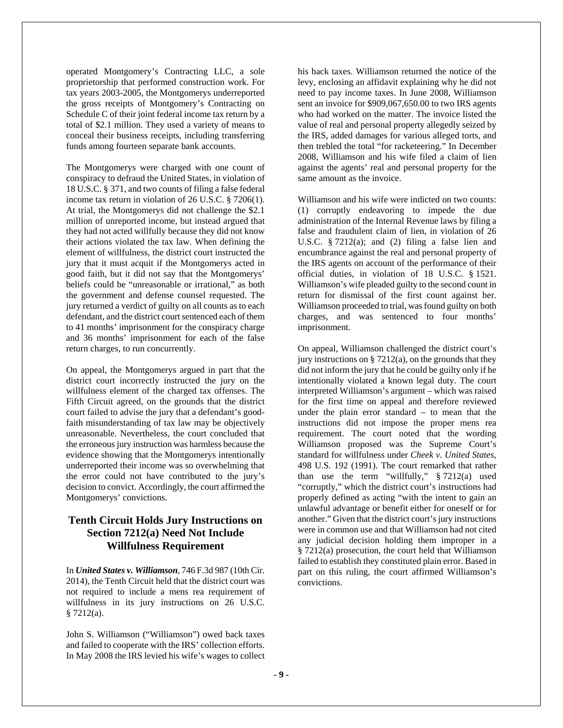operated Montgomery's Contracting LLC, a sole proprietorship that performed construction work. For tax years 2003-2005, the Montgomerys underreported the gross receipts of Montgomery's Contracting on Schedule C of their joint federal income tax return by a total of \$2.1 million. They used a variety of means to conceal their business receipts, including transferring funds among fourteen separate bank accounts.

The Montgomerys were charged with one count of conspiracy to defraud the United States, in violation of 18 U.S.C. § 371, and two counts of filing a false federal income tax return in violation of 26 U.S.C. § 7206(1). At trial, the Montgomerys did not challenge the \$2.1 million of unreported income, but instead argued that they had not acted willfully because they did not know their actions violated the tax law. When defining the element of willfulness, the district court instructed the jury that it must acquit if the Montgomerys acted in good faith, but it did not say that the Montgomerys' beliefs could be "unreasonable or irrational," as both the government and defense counsel requested. The jury returned a verdict of guilty on all counts as to each defendant, and the district court sentenced each of them to 41 months' imprisonment for the conspiracy charge and 36 months' imprisonment for each of the false return charges, to run concurrently.

On appeal, the Montgomerys argued in part that the district court incorrectly instructed the jury on the willfulness element of the charged tax offenses. The Fifth Circuit agreed, on the grounds that the district court failed to advise the jury that a defendant's goodfaith misunderstanding of tax law may be objectively unreasonable. Nevertheless, the court concluded that the erroneous jury instruction was harmless because the evidence showing that the Montgomerys intentionally underreported their income was so overwhelming that the error could not have contributed to the jury's decision to convict. Accordingly, the court affirmed the Montgomerys' convictions.

# **Tenth Circuit Holds Jury Instructions on Section 7212(a) Need Not Include Willfulness Requirement**

In *United States v. Williamson*, 746 F.3d 987 (10th Cir. 2014), the Tenth Circuit held that the district court was not required to include a mens rea requirement of willfulness in its jury instructions on 26 U.S.C.  $§ 7212(a).$ 

John S. Williamson ("Williamson") owed back taxes and failed to cooperate with the IRS' collection efforts. In May 2008 the IRS levied his wife's wages to collect

his back taxes. Williamson returned the notice of the levy, enclosing an affidavit explaining why he did not need to pay income taxes. In June 2008, Williamson sent an invoice for \$909,067,650.00 to two IRS agents who had worked on the matter. The invoice listed the value of real and personal property allegedly seized by the IRS, added damages for various alleged torts, and then trebled the total "for racketeering." In December 2008, Williamson and his wife filed a claim of lien against the agents' real and personal property for the same amount as the invoice.

Williamson and his wife were indicted on two counts: (1) corruptly endeavoring to impede the due administration of the Internal Revenue laws by filing a false and fraudulent claim of lien, in violation of 26 U.S.C. § 7212(a); and (2) filing a false lien and encumbrance against the real and personal property of the IRS agents on account of the performance of their official duties, in violation of 18 U.S.C. § 1521. Williamson's wife pleaded guilty to the second count in return for dismissal of the first count against her. Williamson proceeded to trial, was found guilty on both charges, and was sentenced to four months' imprisonment.

On appeal, Williamson challenged the district court's jury instructions on  $\S$  7212(a), on the grounds that they did not inform the jury that he could be guilty only if he intentionally violated a known legal duty. The court interpreted Williamson's argument – which was raised for the first time on appeal and therefore reviewed under the plain error standard – to mean that the instructions did not impose the proper mens rea requirement. The court noted that the wording Williamson proposed was the Supreme Court's standard for willfulness under *Cheek v. United States,* 498 U.S. 192 (1991). The court remarked that rather than use the term "willfully,"  $§ 7212(a)$  used "corruptly," which the district court's instructions had properly defined as acting "with the intent to gain an unlawful advantage or benefit either for oneself or for another." Given that the district court's jury instructions were in common use and that Williamson had not cited any judicial decision holding them improper in a § 7212(a) prosecution, the court held that Williamson failed to establish they constituted plain error. Based in part on this ruling, the court affirmed Williamson's convictions.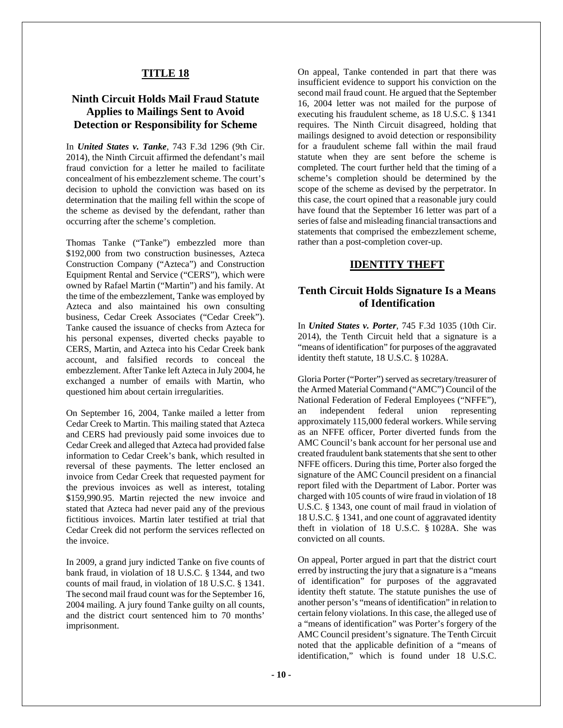#### **TITLE 18**

### **Ninth Circuit Holds Mail Fraud Statute Applies to Mailings Sent to Avoid Detection or Responsibility for Scheme**

In *United States v. Tanke*, 743 F.3d 1296 (9th Cir. 2014), the Ninth Circuit affirmed the defendant's mail fraud conviction for a letter he mailed to facilitate concealment of his embezzlement scheme. The court's decision to uphold the conviction was based on its determination that the mailing fell within the scope of the scheme as devised by the defendant, rather than occurring after the scheme's completion.

Thomas Tanke ("Tanke") embezzled more than \$192,000 from two construction businesses, Azteca Construction Company ("Azteca") and Construction Equipment Rental and Service ("CERS"), which were owned by Rafael Martin ("Martin") and his family. At the time of the embezzlement, Tanke was employed by Azteca and also maintained his own consulting business, Cedar Creek Associates ("Cedar Creek"). Tanke caused the issuance of checks from Azteca for his personal expenses, diverted checks payable to CERS, Martin, and Azteca into his Cedar Creek bank account, and falsified records to conceal the embezzlement. After Tanke left Azteca in July 2004, he exchanged a number of emails with Martin, who questioned him about certain irregularities.

On September 16, 2004, Tanke mailed a letter from Cedar Creek to Martin. This mailing stated that Azteca and CERS had previously paid some invoices due to Cedar Creek and alleged that Azteca had provided false information to Cedar Creek's bank, which resulted in reversal of these payments. The letter enclosed an invoice from Cedar Creek that requested payment for the previous invoices as well as interest, totaling \$159,990.95. Martin rejected the new invoice and stated that Azteca had never paid any of the previous fictitious invoices. Martin later testified at trial that Cedar Creek did not perform the services reflected on the invoice.

In 2009, a grand jury indicted Tanke on five counts of bank fraud, in violation of 18 U.S.C. § 1344, and two counts of mail fraud, in violation of 18 U.S.C. § 1341. The second mail fraud count was for the September 16, 2004 mailing. A jury found Tanke guilty on all counts, and the district court sentenced him to 70 months' imprisonment.

On appeal, Tanke contended in part that there was insufficient evidence to support his conviction on the second mail fraud count. He argued that the September 16, 2004 letter was not mailed for the purpose of executing his fraudulent scheme, as 18 U.S.C. § 1341 requires. The Ninth Circuit disagreed, holding that mailings designed to avoid detection or responsibility for a fraudulent scheme fall within the mail fraud statute when they are sent before the scheme is completed. The court further held that the timing of a scheme's completion should be determined by the scope of the scheme as devised by the perpetrator. In this case, the court opined that a reasonable jury could have found that the September 16 letter was part of a series of false and misleading financial transactions and statements that comprised the embezzlement scheme, rather than a post-completion cover-up.

#### **IDENTITY THEFT**

#### **Tenth Circuit Holds Signature Is a Means of Identification**

In *United States v. Porter*, 745 F.3d 1035 (10th Cir. 2014), the Tenth Circuit held that a signature is a "means of identification" for purposes of the aggravated identity theft statute, 18 U.S.C. § 1028A.

Gloria Porter ("Porter") served as secretary/treasurer of the Armed Material Command ("AMC") Council of the National Federation of Federal Employees ("NFFE"), an independent federal union representing approximately 115,000 federal workers. While serving as an NFFE officer, Porter diverted funds from the AMC Council's bank account for her personal use and created fraudulent bank statements that she sent to other NFFE officers. During this time, Porter also forged the signature of the AMC Council president on a financial report filed with the Department of Labor. Porter was charged with 105 counts of wire fraud in violation of 18 U.S.C. § 1343, one count of mail fraud in violation of 18 U.S.C. § 1341, and one count of aggravated identity theft in violation of 18 U.S.C. § 1028A. She was convicted on all counts.

On appeal, Porter argued in part that the district court erred by instructing the jury that a signature is a "means of identification" for purposes of the aggravated identity theft statute. The statute punishes the use of another person's "means of identification" in relation to certain felony violations. In this case, the alleged use of a "means of identification" was Porter's forgery of the AMC Council president's signature. The Tenth Circuit noted that the applicable definition of a "means of identification," which is found under 18 U.S.C.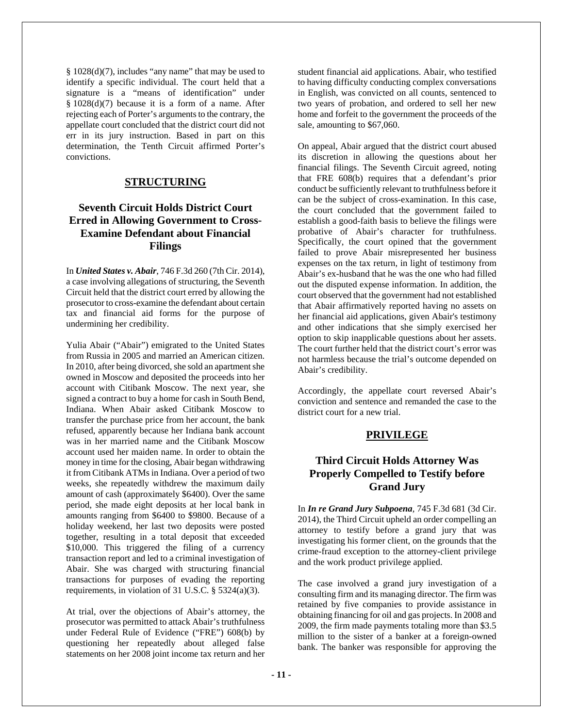§ 1028(d)(7), includes "any name" that may be used to identify a specific individual. The court held that a signature is a "means of identification" under § 1028(d)(7) because it is a form of a name. After rejecting each of Porter's arguments to the contrary, the appellate court concluded that the district court did not err in its jury instruction. Based in part on this determination, the Tenth Circuit affirmed Porter's convictions.

#### **STRUCTURING**

# **Seventh Circuit Holds District Court Erred in Allowing Government to Cross-Examine Defendant about Financial Filings**

In *United States v. Abair*, 746 F.3d 260 (7th Cir. 2014), a case involving allegations of structuring, the Seventh Circuit held that the district court erred by allowing the prosecutor to cross-examine the defendant about certain tax and financial aid forms for the purpose of undermining her credibility.

Yulia Abair ("Abair") emigrated to the United States from Russia in 2005 and married an American citizen. In 2010, after being divorced, she sold an apartment she owned in Moscow and deposited the proceeds into her account with Citibank Moscow. The next year, she signed a contract to buy a home for cash in South Bend, Indiana. When Abair asked Citibank Moscow to transfer the purchase price from her account, the bank refused, apparently because her Indiana bank account was in her married name and the Citibank Moscow account used her maiden name. In order to obtain the money in time for the closing, Abair began withdrawing it from Citibank ATMs in Indiana. Over a period of two weeks, she repeatedly withdrew the maximum daily amount of cash (approximately \$6400). Over the same period, she made eight deposits at her local bank in amounts ranging from \$6400 to \$9800. Because of a holiday weekend, her last two deposits were posted together, resulting in a total deposit that exceeded \$10,000. This triggered the filing of a currency transaction report and led to a criminal investigation of Abair. She was charged with structuring financial transactions for purposes of evading the reporting requirements, in violation of 31 U.S.C.  $\S$  5324(a)(3).

At trial, over the objections of Abair's attorney, the prosecutor was permitted to attack Abair's truthfulness under Federal Rule of Evidence ("FRE") 608(b) by questioning her repeatedly about alleged false statements on her 2008 joint income tax return and her

student financial aid applications. Abair, who testified to having difficulty conducting complex conversations in English, was convicted on all counts, sentenced to two years of probation, and ordered to sell her new home and forfeit to the government the proceeds of the sale, amounting to \$67,060.

On appeal, Abair argued that the district court abused its discretion in allowing the questions about her financial filings. The Seventh Circuit agreed, noting that FRE 608(b) requires that a defendant's prior conduct be sufficiently relevant to truthfulness before it can be the subject of cross-examination. In this case, the court concluded that the government failed to establish a good-faith basis to believe the filings were probative of Abair's character for truthfulness. Specifically, the court opined that the government failed to prove Abair misrepresented her business expenses on the tax return, in light of testimony from Abair's ex-husband that he was the one who had filled out the disputed expense information. In addition, the court observed that the government had not established that Abair affirmatively reported having no assets on her financial aid applications, given Abair's testimony and other indications that she simply exercised her option to skip inapplicable questions about her assets. The court further held that the district court's error was not harmless because the trial's outcome depended on Abair's credibility.

Accordingly, the appellate court reversed Abair's conviction and sentence and remanded the case to the district court for a new trial.

#### **PRIVILEGE**

# **Third Circuit Holds Attorney Was Properly Compelled to Testify before Grand Jury**

In *In re Grand Jury Subpoena,* 745 F.3d 681 (3d Cir. 2014), the Third Circuit upheld an order compelling an attorney to testify before a grand jury that was investigating his former client, on the grounds that the crime-fraud exception to the attorney-client privilege and the work product privilege applied.

The case involved a grand jury investigation of a consulting firm and its managing director. The firm was retained by five companies to provide assistance in obtaining financing for oil and gas projects. In 2008 and 2009, the firm made payments totaling more than \$3.5 million to the sister of a banker at a foreign-owned bank. The banker was responsible for approving the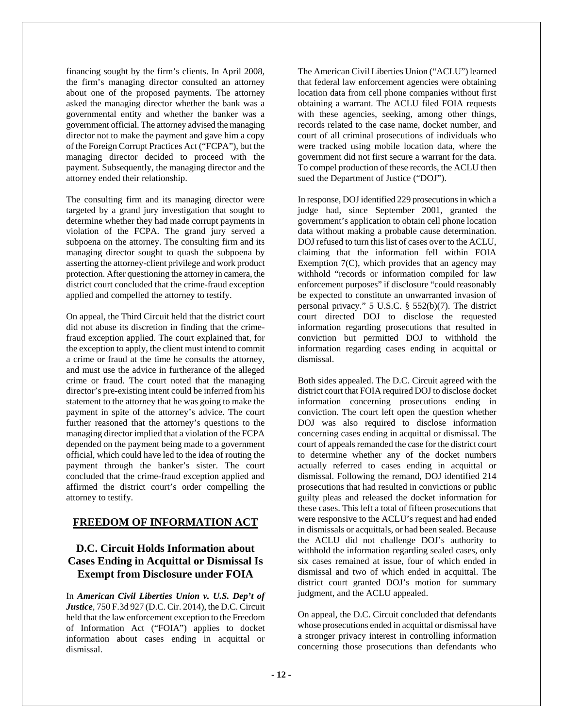financing sought by the firm's clients. In April 2008, the firm's managing director consulted an attorney about one of the proposed payments. The attorney asked the managing director whether the bank was a governmental entity and whether the banker was a government official. The attorney advised the managing director not to make the payment and gave him a copy of the Foreign Corrupt Practices Act ("FCPA"), but the managing director decided to proceed with the payment. Subsequently, the managing director and the attorney ended their relationship.

The consulting firm and its managing director were targeted by a grand jury investigation that sought to determine whether they had made corrupt payments in violation of the FCPA. The grand jury served a subpoena on the attorney. The consulting firm and its managing director sought to quash the subpoena by asserting the attorney-client privilege and work product protection. After questioning the attorney in camera, the district court concluded that the crime-fraud exception applied and compelled the attorney to testify.

On appeal, the Third Circuit held that the district court did not abuse its discretion in finding that the crimefraud exception applied. The court explained that, for the exception to apply, the client must intend to commit a crime or fraud at the time he consults the attorney, and must use the advice in furtherance of the alleged crime or fraud. The court noted that the managing director's pre-existing intent could be inferred from his statement to the attorney that he was going to make the payment in spite of the attorney's advice. The court further reasoned that the attorney's questions to the managing director implied that a violation of the FCPA depended on the payment being made to a government official, which could have led to the idea of routing the payment through the banker's sister. The court concluded that the crime-fraud exception applied and affirmed the district court's order compelling the attorney to testify.

#### **FREEDOM OF INFORMATION ACT**

# **D.C. Circuit Holds Information about Cases Ending in Acquittal or Dismissal Is Exempt from Disclosure under FOIA**

In *American Civil Liberties Union v. U.S. Dep't of Justice,* 750 F.3d 927 (D.C. Cir. 2014), the D.C. Circuit held that the law enforcement exception to the Freedom of Information Act ("FOIA") applies to docket information about cases ending in acquittal or dismissal.

The American Civil Liberties Union ("ACLU") learned that federal law enforcement agencies were obtaining location data from cell phone companies without first obtaining a warrant. The ACLU filed FOIA requests with these agencies, seeking, among other things, records related to the case name, docket number, and court of all criminal prosecutions of individuals who were tracked using mobile location data, where the government did not first secure a warrant for the data. To compel production of these records, the ACLU then sued the Department of Justice ("DOJ").

In response, DOJ identified 229 prosecutions in which a judge had, since September 2001, granted the government's application to obtain cell phone location data without making a probable cause determination. DOJ refused to turn this list of cases over to the ACLU, claiming that the information fell within FOIA Exemption 7(C), which provides that an agency may withhold "records or information compiled for law enforcement purposes" if disclosure "could reasonably be expected to constitute an unwarranted invasion of personal privacy." 5 U.S.C. § 552(b)(7). The district court directed DOJ to disclose the requested information regarding prosecutions that resulted in conviction but permitted DOJ to withhold the information regarding cases ending in acquittal or dismissal.

Both sides appealed. The D.C. Circuit agreed with the district court that FOIA required DOJ to disclose docket information concerning prosecutions ending in conviction. The court left open the question whether DOJ was also required to disclose information concerning cases ending in acquittal or dismissal. The court of appeals remanded the case for the district court to determine whether any of the docket numbers actually referred to cases ending in acquittal or dismissal. Following the remand, DOJ identified 214 prosecutions that had resulted in convictions or public guilty pleas and released the docket information for these cases. This left a total of fifteen prosecutions that were responsive to the ACLU's request and had ended in dismissals or acquittals, or had been sealed. Because the ACLU did not challenge DOJ's authority to withhold the information regarding sealed cases, only six cases remained at issue, four of which ended in dismissal and two of which ended in acquittal. The district court granted DOJ's motion for summary judgment, and the ACLU appealed.

On appeal, the D.C. Circuit concluded that defendants whose prosecutions ended in acquittal or dismissal have a stronger privacy interest in controlling information concerning those prosecutions than defendants who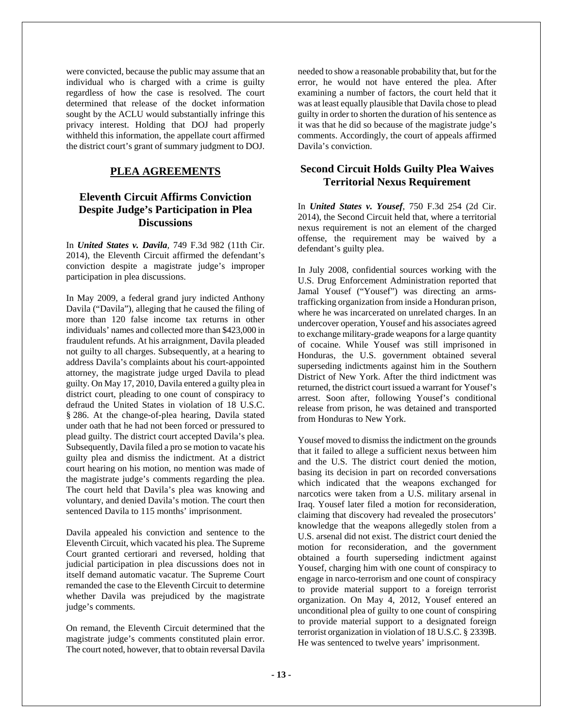were convicted, because the public may assume that an individual who is charged with a crime is guilty regardless of how the case is resolved. The court determined that release of the docket information sought by the ACLU would substantially infringe this privacy interest. Holding that DOJ had properly withheld this information, the appellate court affirmed the district court's grant of summary judgment to DOJ.

# **PLEA AGREEMENTS**

#### **Eleventh Circuit Affirms Conviction Despite Judge's Participation in Plea Discussions**

In *United States v. Davila,* 749 F.3d 982 (11th Cir. 2014), the Eleventh Circuit affirmed the defendant's conviction despite a magistrate judge's improper participation in plea discussions.

In May 2009, a federal grand jury indicted Anthony Davila ("Davila"), alleging that he caused the filing of more than 120 false income tax returns in other individuals' names and collected more than \$423,000 in fraudulent refunds. At his arraignment, Davila pleaded not guilty to all charges. Subsequently, at a hearing to address Davila's complaints about his court-appointed attorney, the magistrate judge urged Davila to plead guilty. On May 17, 2010, Davila entered a guilty plea in district court, pleading to one count of conspiracy to defraud the United States in violation of 18 U.S.C. § 286. At the change-of-plea hearing, Davila stated under oath that he had not been forced or pressured to plead guilty. The district court accepted Davila's plea. Subsequently, Davila filed a pro se motion to vacate his guilty plea and dismiss the indictment. At a district court hearing on his motion, no mention was made of the magistrate judge's comments regarding the plea. The court held that Davila's plea was knowing and voluntary, and denied Davila's motion. The court then sentenced Davila to 115 months' imprisonment.

Davila appealed his conviction and sentence to the Eleventh Circuit, which vacated his plea. The Supreme Court granted certiorari and reversed, holding that judicial participation in plea discussions does not in itself demand automatic vacatur. The Supreme Court remanded the case to the Eleventh Circuit to determine whether Davila was prejudiced by the magistrate judge's comments.

On remand, the Eleventh Circuit determined that the magistrate judge's comments constituted plain error. The court noted, however, that to obtain reversal Davila needed to show a reasonable probability that, but for the error, he would not have entered the plea. After examining a number of factors, the court held that it was at least equally plausible that Davila chose to plead guilty in order to shorten the duration of his sentence as it was that he did so because of the magistrate judge's comments. Accordingly, the court of appeals affirmed Davila's conviction.

#### **Second Circuit Holds Guilty Plea Waives Territorial Nexus Requirement**

In *United States v. Yousef,* 750 F.3d 254 (2d Cir. 2014), the Second Circuit held that, where a territorial nexus requirement is not an element of the charged offense, the requirement may be waived by a defendant's guilty plea.

In July 2008, confidential sources working with the U.S. Drug Enforcement Administration reported that Jamal Yousef ("Yousef") was directing an armstrafficking organization from inside a Honduran prison, where he was incarcerated on unrelated charges. In an undercover operation, Yousef and his associates agreed to exchange military-grade weapons for a large quantity of cocaine. While Yousef was still imprisoned in Honduras, the U.S. government obtained several superseding indictments against him in the Southern District of New York. After the third indictment was returned, the district court issued a warrant for Yousef's arrest. Soon after, following Yousef's conditional release from prison, he was detained and transported from Honduras to New York.

Yousef moved to dismiss the indictment on the grounds that it failed to allege a sufficient nexus between him and the U.S. The district court denied the motion, basing its decision in part on recorded conversations which indicated that the weapons exchanged for narcotics were taken from a U.S. military arsenal in Iraq. Yousef later filed a motion for reconsideration, claiming that discovery had revealed the prosecutors' knowledge that the weapons allegedly stolen from a U.S. arsenal did not exist. The district court denied the motion for reconsideration, and the government obtained a fourth superseding indictment against Yousef, charging him with one count of conspiracy to engage in narco-terrorism and one count of conspiracy to provide material support to a foreign terrorist organization. On May 4, 2012, Yousef entered an unconditional plea of guilty to one count of conspiring to provide material support to a designated foreign terrorist organization in violation of 18 U.S.C. § 2339B. He was sentenced to twelve years' imprisonment.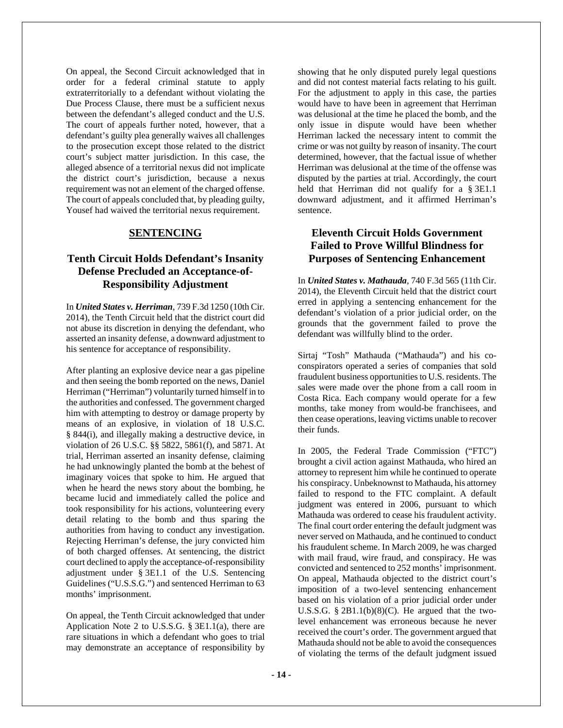On appeal, the Second Circuit acknowledged that in order for a federal criminal statute to apply extraterritorially to a defendant without violating the Due Process Clause, there must be a sufficient nexus between the defendant's alleged conduct and the U.S. The court of appeals further noted, however, that a defendant's guilty plea generally waives all challenges to the prosecution except those related to the district court's subject matter jurisdiction. In this case, the alleged absence of a territorial nexus did not implicate the district court's jurisdiction, because a nexus requirement was not an element of the charged offense. The court of appeals concluded that, by pleading guilty, Yousef had waived the territorial nexus requirement.

#### **SENTENCING**

# **Tenth Circuit Holds Defendant's Insanity Defense Precluded an Acceptance-of-Responsibility Adjustment**

In *United States v. Herriman*, 739 F.3d 1250 (10th Cir. 2014), the Tenth Circuit held that the district court did not abuse its discretion in denying the defendant, who asserted an insanity defense, a downward adjustment to his sentence for acceptance of responsibility.

After planting an explosive device near a gas pipeline and then seeing the bomb reported on the news, Daniel Herriman ("Herriman") voluntarily turned himself in to the authorities and confessed. The government charged him with attempting to destroy or damage property by means of an explosive, in violation of 18 U.S.C. § 844(i), and illegally making a destructive device, in violation of 26 U.S.C. §§ 5822, 5861(f), and 5871. At trial, Herriman asserted an insanity defense, claiming he had unknowingly planted the bomb at the behest of imaginary voices that spoke to him. He argued that when he heard the news story about the bombing, he became lucid and immediately called the police and took responsibility for his actions, volunteering every detail relating to the bomb and thus sparing the authorities from having to conduct any investigation. Rejecting Herriman's defense, the jury convicted him of both charged offenses. At sentencing, the district court declined to apply the acceptance-of-responsibility adjustment under § 3E1.1 of the U.S. Sentencing Guidelines ("U.S.S.G.") and sentenced Herriman to 63 months' imprisonment.

On appeal, the Tenth Circuit acknowledged that under Application Note 2 to U.S.S.G. § 3E1.1(a), there are rare situations in which a defendant who goes to trial may demonstrate an acceptance of responsibility by showing that he only disputed purely legal questions and did not contest material facts relating to his guilt. For the adjustment to apply in this case, the parties would have to have been in agreement that Herriman was delusional at the time he placed the bomb, and the only issue in dispute would have been whether Herriman lacked the necessary intent to commit the crime or was not guilty by reason of insanity. The court determined, however, that the factual issue of whether Herriman was delusional at the time of the offense was disputed by the parties at trial. Accordingly, the court held that Herriman did not qualify for a § 3E1.1 downward adjustment, and it affirmed Herriman's sentence.

#### **Eleventh Circuit Holds Government Failed to Prove Willful Blindness for Purposes of Sentencing Enhancement**

In *United States v. Mathauda,* 740 F.3d 565 (11th Cir. 2014), the Eleventh Circuit held that the district court erred in applying a sentencing enhancement for the defendant's violation of a prior judicial order, on the grounds that the government failed to prove the defendant was willfully blind to the order.

Sirtaj "Tosh" Mathauda ("Mathauda") and his coconspirators operated a series of companies that sold fraudulent business opportunities to U.S. residents. The sales were made over the phone from a call room in Costa Rica. Each company would operate for a few months, take money from would-be franchisees, and then cease operations, leaving victims unable to recover their funds.

In 2005, the Federal Trade Commission ("FTC") brought a civil action against Mathauda, who hired an attorney to represent him while he continued to operate his conspiracy. Unbeknownst to Mathauda, his attorney failed to respond to the FTC complaint. A default judgment was entered in 2006, pursuant to which Mathauda was ordered to cease his fraudulent activity. The final court order entering the default judgment was never served on Mathauda, and he continued to conduct his fraudulent scheme. In March 2009, he was charged with mail fraud, wire fraud, and conspiracy. He was convicted and sentenced to 252 months' imprisonment. On appeal, Mathauda objected to the district court's imposition of a two-level sentencing enhancement based on his violation of a prior judicial order under U.S.S.G.  $\S 2B1.1(b)(8)(C)$ . He argued that the twolevel enhancement was erroneous because he never received the court's order. The government argued that Mathauda should not be able to avoid the consequences of violating the terms of the default judgment issued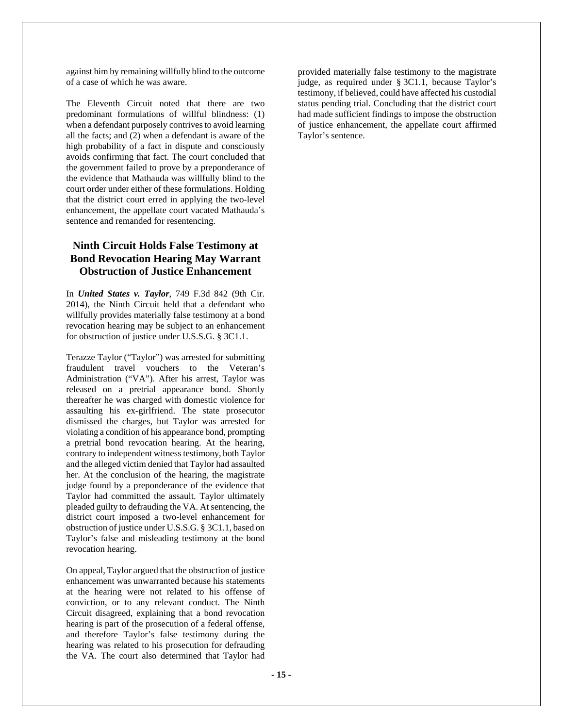against him by remaining willfully blind to the outcome of a case of which he was aware.

The Eleventh Circuit noted that there are two predominant formulations of willful blindness: (1) when a defendant purposely contrives to avoid learning all the facts; and (2) when a defendant is aware of the high probability of a fact in dispute and consciously avoids confirming that fact. The court concluded that the government failed to prove by a preponderance of the evidence that Mathauda was willfully blind to the court order under either of these formulations. Holding that the district court erred in applying the two-level enhancement, the appellate court vacated Mathauda's sentence and remanded for resentencing.

#### **Ninth Circuit Holds False Testimony at Bond Revocation Hearing May Warrant Obstruction of Justice Enhancement**

In *United States v. Taylor*, 749 F.3d 842 (9th Cir. 2014), the Ninth Circuit held that a defendant who willfully provides materially false testimony at a bond revocation hearing may be subject to an enhancement for obstruction of justice under U.S.S.G. § 3C1.1.

Terazze Taylor ("Taylor") was arrested for submitting fraudulent travel vouchers to the Veteran's Administration ("VA"). After his arrest, Taylor was released on a pretrial appearance bond. Shortly thereafter he was charged with domestic violence for assaulting his ex-girlfriend. The state prosecutor dismissed the charges, but Taylor was arrested for violating a condition of his appearance bond, prompting a pretrial bond revocation hearing. At the hearing, contrary to independent witness testimony, both Taylor and the alleged victim denied that Taylor had assaulted her. At the conclusion of the hearing, the magistrate judge found by a preponderance of the evidence that Taylor had committed the assault. Taylor ultimately pleaded guilty to defrauding the VA. At sentencing, the district court imposed a two-level enhancement for obstruction of justice under U.S.S.G. § 3C1.1, based on Taylor's false and misleading testimony at the bond revocation hearing.

On appeal, Taylor argued that the obstruction of justice enhancement was unwarranted because his statements at the hearing were not related to his offense of conviction, or to any relevant conduct. The Ninth Circuit disagreed, explaining that a bond revocation hearing is part of the prosecution of a federal offense, and therefore Taylor's false testimony during the hearing was related to his prosecution for defrauding the VA. The court also determined that Taylor had

provided materially false testimony to the magistrate judge, as required under § 3C1.1, because Taylor's testimony, if believed, could have affected his custodial status pending trial. Concluding that the district court had made sufficient findings to impose the obstruction of justice enhancement, the appellate court affirmed Taylor's sentence.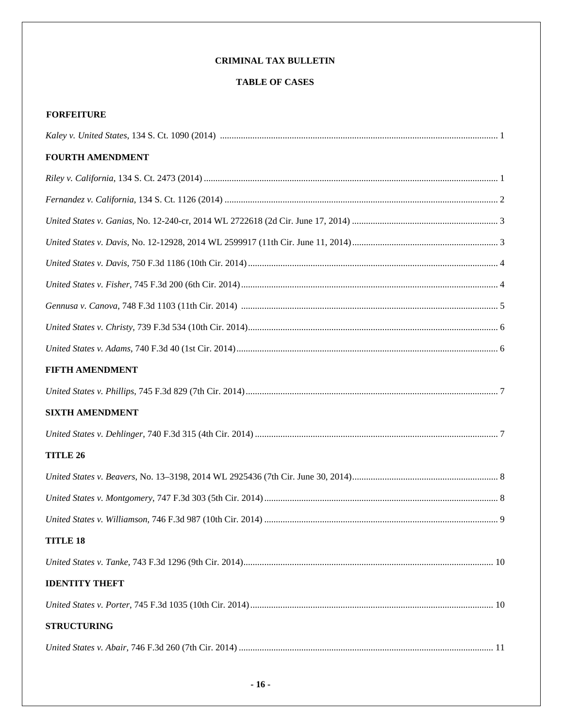# **CRIMINAL TAX BULLETIN**

#### **TABLE OF CASES**

| <b>FORFEITURE</b>       |  |
|-------------------------|--|
|                         |  |
| <b>FOURTH AMENDMENT</b> |  |
|                         |  |
|                         |  |
|                         |  |
|                         |  |
|                         |  |
|                         |  |
|                         |  |
|                         |  |
|                         |  |
| <b>FIFTH AMENDMENT</b>  |  |
|                         |  |
| <b>SIXTH AMENDMENT</b>  |  |
|                         |  |
| <b>TITLE 26</b>         |  |
|                         |  |
|                         |  |
|                         |  |
| <b>TITLE 18</b>         |  |
|                         |  |
| <b>IDENTITY THEFT</b>   |  |
|                         |  |
| <b>STRUCTURING</b>      |  |
|                         |  |
|                         |  |